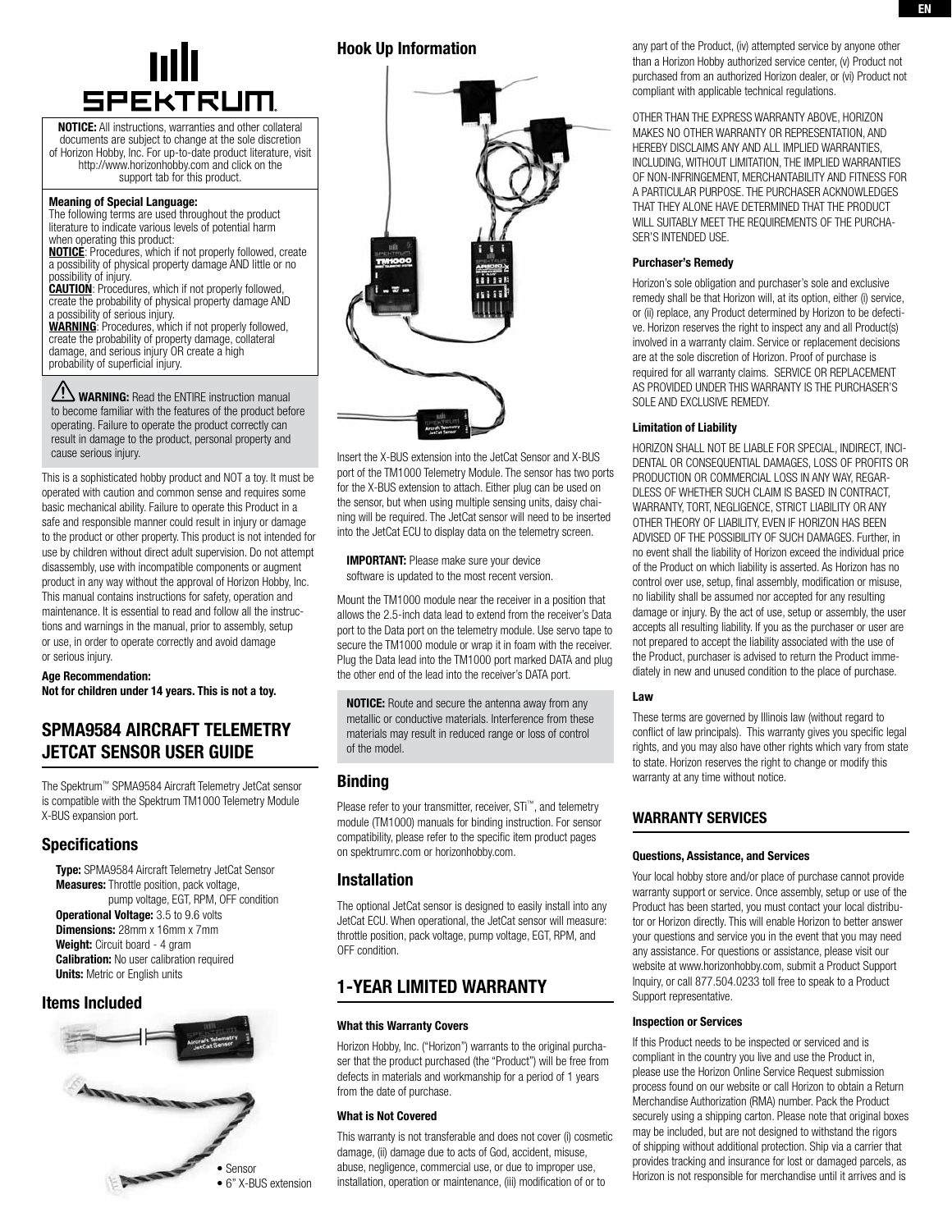

NOTICE: All instructions, warranties and other collateral documents are subject to change at the sole discretion of Horizon Hobby, Inc. For up-to-date product literature, visit http://www.horizonhobby.com and click on the support tab for this product.

#### Meaning of Special Language:

The following terms are used throughout the product literature to indicate various levels of potential harm when operating this product:

**NOTICE:** Procedures, which if not properly followed, create a possibility of physical property damage AND little or no possibility of injury.

**CAUTION:** Procedures, which if not properly followed, create the probability of physical property damage AND a possibility of serious injury.

WARNING: Procedures, which if not properly followed, create the probability of property damage, collateral damage, and serious injury OR create a high probability of superficial injury.

WARNING: Read the ENTIRE instruction manual to become familiar with the features of the product before operating. Failure to operate the product correctly can result in damage to the product, personal property and cause serious injury.

This is a sophisticated hobby product and NOT a toy. It must be operated with caution and common sense and requires some basic mechanical ability. Failure to operate this Product in a safe and responsible manner could result in injury or damage to the product or other property. This product is not intended for use by children without direct adult supervision. Do not attempt disassembly, use with incompatible components or augment product in any way without the approval of Horizon Hobby, Inc. This manual contains instructions for safety, operation and maintenance. It is essential to read and follow all the instructions and warnings in the manual, prior to assembly, setup or use, in order to operate correctly and avoid damage or serious injury.

#### Age Recommendation: Not for children under 14 years. This is not a toy.

# SPMA9584 AIRCRAFT TELEMETRY JetCat sensor User Guide

The Spektrum™ SPMA9584 Aircraft Telemetry JetCat sensor is compatible with the Spektrum TM1000 Telemetry Module X-BUS expansion port.

# **Specifications**

Type: SPMA9584 Aircraft Telemetry JetCat Sensor Measures: Throttle position, pack voltage, pump voltage, EGT, RPM, OFF condition Operational Voltage: 3.5 to 9.6 volts Dimensions: 28mm x 16mm x 7mm Weight: Circuit board - 4 gram **Calibration:** No user calibration required **Units:** Metric or English units

## Items Included



# Hook Up Information



Insert the X-BUS extension into the JetCat Sensor and X-BUS port of the TM1000 Telemetry Module. The sensor has two ports for the X-BUS extension to attach. Either plug can be used on the sensor, but when using multiple sensing units, daisy chaining will be required. The JetCat sensor will need to be inserted into the JetCat ECU to display data on the telemetry screen.

**IMPORTANT:** Please make sure your device software is updated to the most recent version.

Mount the TM1000 module near the receiver in a position that allows the 2.5-inch data lead to extend from the receiver's Data port to the Data port on the telemetry module. Use servo tape to secure the TM1000 module or wrap it in foam with the receiver. Plug the Data lead into the TM1000 port marked DATA and plug the other end of the lead into the receiver's DATA port.

NOTICE: Route and secure the antenna away from any metallic or conductive materials. Interference from these materials may result in reduced range or loss of control of the model.

# **Binding**

Please refer to your transmitter, receiver, STi™, and telemetry module (TM1000) manuals for binding instruction. For sensor compatibility, please refer to the specific item product pages on spektrumrc.com or horizonhobby.com.

## Installation

The optional JetCat sensor is designed to easily install into any JetCat ECU. When operational, the JetCat sensor will measure: throttle position, pack voltage, pump voltage, EGT, RPM, and OFF condition.

# 1-Year Limited warranty

### What this Warranty Covers

Horizon Hobby, Inc. ("Horizon") warrants to the original purchaser that the product purchased (the "Product") will be free from defects in materials and workmanship for a period of 1 years from the date of purchase.

### What is Not Covered

This warranty is not transferable and does not cover (i) cosmetic damage, (ii) damage due to acts of God, accident, misuse, abuse, negligence, commercial use, or due to improper use, installation, operation or maintenance, (iii) modification of or to

any part of the Product, (iv) attempted service by anyone other than a Horizon Hobby authorized service center, (v) Product not purchased from an authorized Horizon dealer, or (vi) Product not compliant with applicable technical regulations.

OTHER THAN THE EXPRESS WARRANTY ABOVE, HORIZON MAKES NO OTHER WARRANTY OR REPRESENTATION, AND HEREBY DISCLAIMS ANY AND ALL IMPLIED WARRANTIES, INCLUDING, WITHOUT LIMITATION, THE IMPLIED WARRANTIES OF NON-INFRINGEMENT, MERCHANTABILITY AND FITNESS FOR A PARTICULAR PURPOSE. THE PURCHASER ACKNOWLEDGES THAT THEY ALONE HAVE DETERMINED THAT THE PRODUCT WILL SUITABLY MEET THE REQUIREMENTS OF THE PURCHA-SER'S INTENDED LISE.

### Purchaser's Remedy

Horizon's sole obligation and purchaser's sole and exclusive remedy shall be that Horizon will, at its option, either (i) service, or (ii) replace, any Product determined by Horizon to be defective. Horizon reserves the right to inspect any and all Product(s) involved in a warranty claim. Service or replacement decisions are at the sole discretion of Horizon. Proof of purchase is required for all warranty claims. SERVICE OR REPLACEMENT AS PROVIDED UNDER THIS WARRANTY IS THE PURCHASER'S SOLE AND EXCLUSIVE REMEDY.

### Limitation of Liability

HORIZON SHALL NOT BE LIABLE FOR SPECIAL, INDIRECT, INCI-DENTAL OR CONSEQUENTIAL DAMAGES, LOSS OF PROFITS OR PRODUCTION OR COMMERCIAL LOSS IN ANY WAY, REGAR-DLESS OF WHETHER SUCH CLAIM IS BASED IN CONTRACT, WARRANTY, TORT, NEGLIGENCE, STRICT LIABILITY OR ANY OTHER THEORY OF LIABILITY, EVEN IF HORIZON HAS BEEN ADVISED OF THE POSSIBILITY OF SUCH DAMAGES. Further, in no event shall the liability of Horizon exceed the individual price of the Product on which liability is asserted. As Horizon has no control over use, setup, final assembly, modification or misuse, no liability shall be assumed nor accepted for any resulting damage or injury. By the act of use, setup or assembly, the user accepts all resulting liability. If you as the purchaser or user are not prepared to accept the liability associated with the use of the Product, purchaser is advised to return the Product immediately in new and unused condition to the place of purchase.

### Law

These terms are governed by Illinois law (without regard to conflict of law principals). This warranty gives you specific legal rights, and you may also have other rights which vary from state to state. Horizon reserves the right to change or modify this warranty at any time without notice.

# WARRANTY SERVICES

### Questions, Assistance, and Services

Your local hobby store and/or place of purchase cannot provide warranty support or service. Once assembly, setup or use of the Product has been started, you must contact your local distributor or Horizon directly. This will enable Horizon to better answer your questions and service you in the event that you may need any assistance. For questions or assistance, please visit our website at www.horizonhobby.com, submit a Product Support Inquiry, or call 877.504.0233 toll free to speak to a Product Support representative.

### Inspection or Services

If this Product needs to be inspected or serviced and is compliant in the country you live and use the Product in, please use the Horizon Online Service Request submission process found on our website or call Horizon to obtain a Return Merchandise Authorization (RMA) number. Pack the Product securely using a shipping carton. Please note that original boxes may be included, but are not designed to withstand the rigors of shipping without additional protection. Ship via a carrier that provides tracking and insurance for lost or damaged parcels, as Horizon is not responsible for merchandise until it arrives and is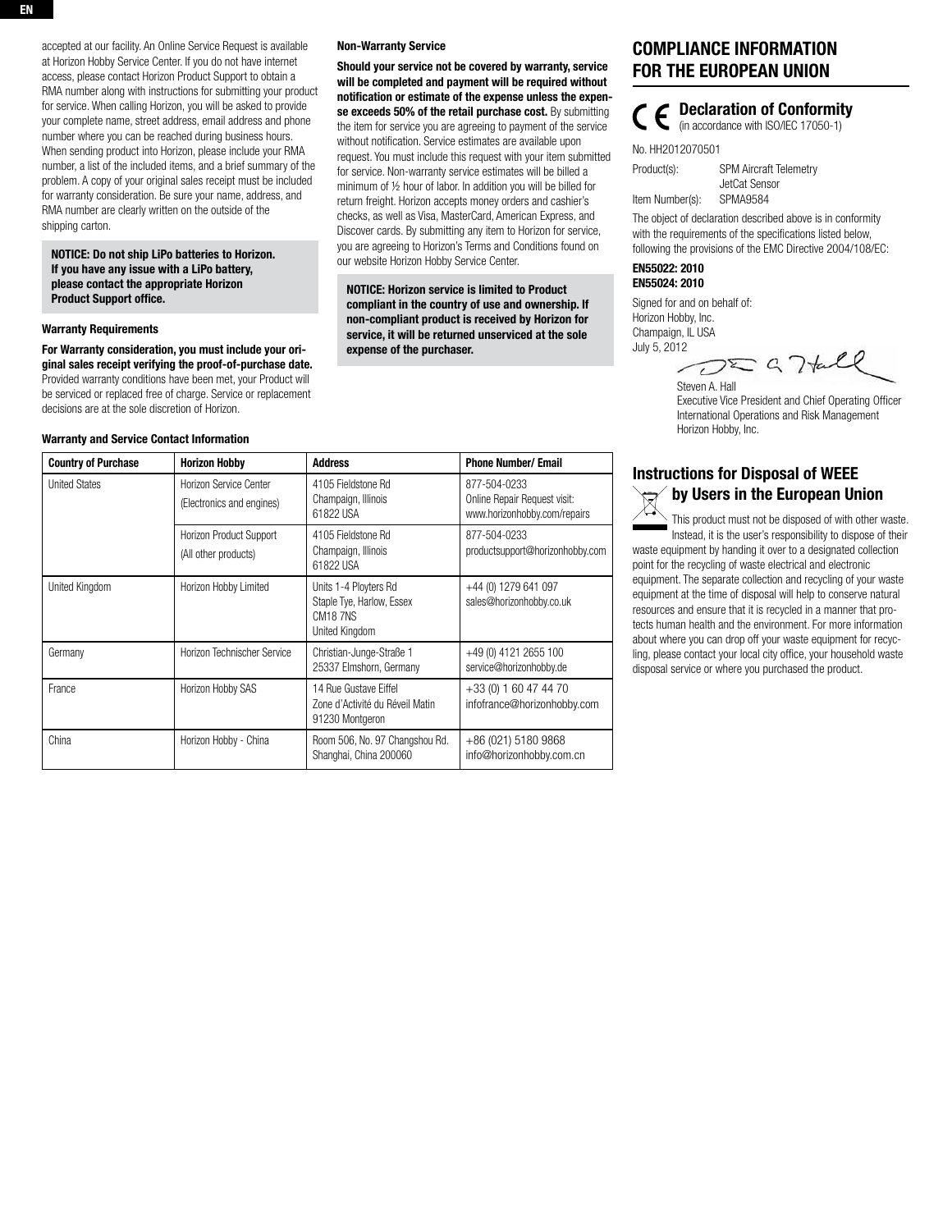### NOTICE: Do not ship LiPo batteries to Horizon. If you have any issue with a LiPo battery, please contact the appropriate Horizon Product Support office.

#### Warranty Requirements

For Warranty consideration, you must include your original sales receipt verifying the proof-of-purchase date. Provided warranty conditions have been met, your Product will be serviced or replaced free of charge. Service or replacement decisions are at the sole discretion of Horizon.

#### Warranty and Service Contact Information

| <b>Country of Purchase</b> | <b>Horizon Hobby</b>                                | <b>Address</b>                                                                               | <b>Phone Number/ Email</b>                                                   |
|----------------------------|-----------------------------------------------------|----------------------------------------------------------------------------------------------|------------------------------------------------------------------------------|
| <b>United States</b>       | Horizon Service Center<br>(Electronics and engines) | 4105 Fieldstone Rd<br>Champaign, Illinois<br>61822 USA                                       | 877-504-0233<br>Online Repair Request visit:<br>www.horizonhobby.com/repairs |
|                            | Horizon Product Support<br>(All other products)     | 4105 Fieldstone Rd<br>Champaign, Illinois<br>61822 USA                                       | 877-504-0233<br>productsupport@horizonhobby.com                              |
| United Kingdom             | Horizon Hobby Limited                               | Units 1-4 Ployters Rd<br>Staple Tye, Harlow, Essex<br>CM <sub>18</sub> 7NS<br>United Kingdom | +44 (0) 1279 641 097<br>sales@horizonhobby.co.uk                             |
| Germany                    | Horizon Technischer Service                         | Christian-Junge-Straße 1<br>25337 Elmshorn, Germany                                          | +49 (0) 4121 2655 100<br>service@horizonhobby.de                             |
| France                     | Horizon Hobby SAS                                   | 14 Rue Gustave Eiffel<br>Zone d'Activité du Réveil Matin<br>91230 Montgeron                  | +33 (0) 1 60 47 44 70<br>infofrance@horizonhobby.com                         |
| China                      | Horizon Hobby - China                               | Room 506, No. 97 Changshou Rd.<br>Shanghai, China 200060                                     | +86 (021) 5180 9868<br>info@horizonhobby.com.cn                              |

Non-Warranty Service

our website Horizon Hobby Service Center.

expense of the purchaser.

NOTICE: Horizon service is limited to Product compliant in the country of use and ownership. If non-compliant product is received by Horizon for service, it will be returned unserviced at the sole

Should your service not be covered by warranty, service will be completed and payment will be required without notification or estimate of the expense unless the expense exceeds 50% of the retail purchase cost. By submitting the item for service you are agreeing to payment of the service without notification. Service estimates are available upon request. You must include this request with your item submitted for service. Non-warranty service estimates will be billed a minimum of ½ hour of labor. In addition you will be billed for return freight. Horizon accepts money orders and cashier's checks, as well as Visa, MasterCard, American Express, and Discover cards. By submitting any item to Horizon for service, you are agreeing to Horizon's Terms and Conditions found on

# Compliance Information for the European Union

 Declaration of Conformity (in accordance with ISO/IEC 17050-1)

No. HH2012070501

Product(s): SPM Aircraft Telemetry JetCat Sensor Item Number(s): SPMA9584

The object of declaration described above is in conformity with the requirements of the specifications listed below, following the provisions of the EMC Directive 2004/108/EC:

### EN55022: 2010 EN55024: 2010

Signed for and on behalf of: Horizon Hobby, Inc. Champaign, IL USA July 5, 2012

 $DZG7\text{tll}$ 

Steven A. Hall Executive Vice President and Chief Operating Officer International Operations and Risk Management Horizon Hobby, Inc.

# Instructions for Disposal of WEEE by Users in the European Union

This product must not be disposed of with other waste. Instead, it is the user's responsibility to dispose of their waste equipment by handing it over to a designated collection point for the recycling of waste electrical and electronic equipment. The separate collection and recycling of your waste equipment at the time of disposal will help to conserve natural resources and ensure that it is recycled in a manner that protects human health and the environment. For more information about where you can drop off your waste equipment for recycling, please contact your local city office, your household waste disposal service or where you purchased the product.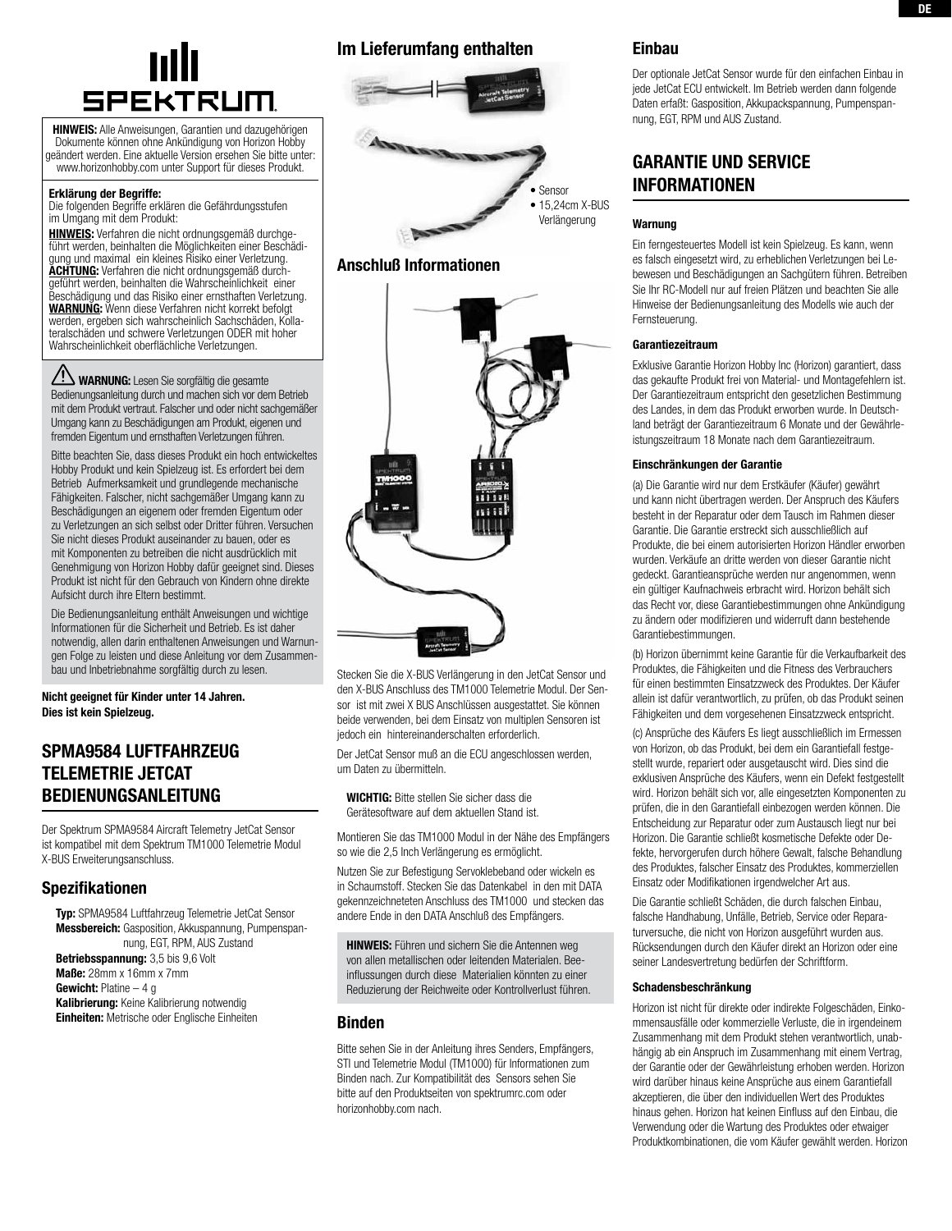

HINWEIS: Alle Anweisungen, Garantien und dazugehörigen Dokumente können ohne Ankündigung von Horizon Hobby geändert werden. Eine aktuelle Version ersehen Sie bitte unter: www.horizonhobby.com unter Support für dieses Produkt.

#### Erklärung der Begriffe:

Die folgenden Begriffe erklären die Gefährdungsstufen im Umgang mit dem Produkt:

Hinweis: Verfahren die nicht ordnungsgemäß durchgeführt werden, beinhalten die Möglichkeiten einer Beschädigung und maximal ein kleines Risiko einer Verletzung. ACHTUNG: Verfahren die nicht ordnungsgemäß durchgeführt werden, beinhalten die Wahrscheinlichkeit einer Beschädigung und das Risiko einer ernsthaften Verletzung. WARNUNG: Wenn diese Verfahren nicht korrekt befolgt werden, ergeben sich wahrscheinlich Sachschäden, Kollateralschäden und schwere Verletzungen ODER mit hoher Wahrscheinlichkeit oberflächliche Verletzungen.

WARNUNG: Lesen Sie sorgfältig die gesamte Bedienungsanleitung durch und machen sich vor dem Betrieb mit dem Produkt vertraut. Falscher und oder nicht sachgemäßer Umgang kann zu Beschädigungen am Produkt, eigenen und fremden Eigentum und ernsthaften Verletzungen führen.

Bitte beachten Sie, dass dieses Produkt ein hoch entwickeltes Hobby Produkt und kein Spielzeug ist. Es erfordert bei dem Betrieb Aufmerksamkeit und grundlegende mechanische Fähigkeiten. Falscher, nicht sachgemäßer Umgang kann zu Beschädigungen an eigenem oder fremden Eigentum oder zu Verletzungen an sich selbst oder Dritter führen. Versuchen Sie nicht dieses Produkt auseinander zu bauen, oder es mit Komponenten zu betreiben die nicht ausdrücklich mit Genehmigung von Horizon Hobby dafür geeignet sind. Dieses Produkt ist nicht für den Gebrauch von Kindern ohne direkte Aufsicht durch ihre Eltern bestimmt.

Die Bedienungsanleitung enthält Anweisungen und wichtige Informationen für die Sicherheit und Betrieb. Es ist daher notwendig, allen darin enthaltenen Anweisungen und Warnungen Folge zu leisten und diese Anleitung vor dem Zusammenbau und Inbetriebnahme sorgfältig durch zu lesen.

Nicht geeignet für Kinder unter 14 Jahren. Dies ist kein Spielzeug.

# SPMA9584 Luftfahrzeug Telemetrie JetCat Bedienungsanleitung

Der Spektrum SPMA9584 Aircraft Telemetry JetCat Sensor ist kompatibel mit dem Spektrum TM1000 Telemetrie Modul X-BUS Erweiterungsanschluss.

### Spezifikationen

Typ: SPMA9584 Luftfahrzeug Telemetrie JetCat Sensor Messbereich: Gasposition, Akkuspannung, Pumpenspannung, EGT, RPM, AUS Zustand Betriebsspannung: 3,5 bis 9,6 Volt Maße: 28mm x 16mm x 7mm Gewicht: Platine – 4 g Kalibrierung: Keine Kalibrierung notwendig Einheiten: Metrische oder Englische Einheiten

# Im Lieferumfang enthalten



## Anschluß Informationen



Stecken Sie die X-BUS Verlängerung in den JetCat Sensor und den X-BUS Anschluss des TM1000 Telemetrie Modul. Der Sensor ist mit zwei X BUS Anschlüssen ausgestattet. Sie können beide verwenden, bei dem Einsatz von multiplen Sensoren ist jedoch ein hintereinanderschalten erforderlich.

Der JetCat Sensor muß an die ECU angeschlossen werden, um Daten zu übermitteln.

WICHTIG: Bitte stellen Sie sicher dass die Gerätesoftware auf dem aktuellen Stand ist.

Montieren Sie das TM1000 Modul in der Nähe des Empfängers so wie die 2,5 Inch Verlängerung es ermöglicht.

Nutzen Sie zur Befestigung Servoklebeband oder wickeln es in Schaumstoff. Stecken Sie das Datenkabel in den mit DATA gekennzeichneteten Anschluss des TM1000 und stecken das andere Ende in den DATA Anschluß des Empfängers.

**HINWEIS:** Führen und sichern Sie die Antennen weg von allen metallischen oder leitenden Materialen. Beeinflussungen durch diese Materialien könnten zu einer Reduzierung der Reichweite oder Kontrollverlust führen.

### Binden

Bitte sehen Sie in der Anleitung ihres Senders, Empfängers, STI und Telemetrie Modul (TM1000) für Informationen zum Binden nach. Zur Kompatibilität des Sensors sehen Sie bitte auf den Produktseiten von spektrumrc.com oder horizonhobby.com nach.

### Einbau

Der optionale JetCat Sensor wurde für den einfachen Einbau in jede JetCat ECU entwickelt. Im Betrieb werden dann folgende Daten erfaßt: Gasposition, Akkupackspannung, Pumpenspannung, EGT, RPM und AUS Zustand.

# garantie und service informationen

#### Warnung

Ein ferngesteuertes Modell ist kein Spielzeug. Es kann, wenn es falsch eingesetzt wird, zu erheblichen Verletzungen bei Lebewesen und Beschädigungen an Sachgütern führen. Betreiben Sie Ihr RC-Modell nur auf freien Plätzen und beachten Sie alle Hinweise der Bedienungsanleitung des Modells wie auch der Fernsteuerung.

#### Garantiezeitraum

Exklusive Garantie Horizon Hobby Inc (Horizon) garantiert, dass das gekaufte Produkt frei von Material- und Montagefehlern ist. Der Garantiezeitraum entspricht den gesetzlichen Bestimmung des Landes, in dem das Produkt erworben wurde. In Deutschland beträgt der Garantiezeitraum 6 Monate und der Gewährleistungszeitraum 18 Monate nach dem Garantiezeitraum.

#### Einschränkungen der Garantie

(a) Die Garantie wird nur dem Erstkäufer (Käufer) gewährt und kann nicht übertragen werden. Der Anspruch des Käufers besteht in der Reparatur oder dem Tausch im Rahmen dieser Garantie. Die Garantie erstreckt sich ausschließlich auf Produkte, die bei einem autorisierten Horizon Händler erworben wurden. Verkäufe an dritte werden von dieser Garantie nicht gedeckt. Garantieansprüche werden nur angenommen, wenn ein gültiger Kaufnachweis erbracht wird. Horizon behält sich das Recht vor, diese Garantiebestimmungen ohne Ankündigung zu ändern oder modifizieren und widerruft dann bestehende Garantiebestimmungen.

(b) Horizon übernimmt keine Garantie für die Verkaufbarkeit des Produktes, die Fähigkeiten und die Fitness des Verbrauchers für einen bestimmten Einsatzzweck des Produktes. Der Käufer allein ist dafür verantwortlich, zu prüfen, ob das Produkt seinen Fähigkeiten und dem vorgesehenen Einsatzzweck entspricht.

(c) Ansprüche des Käufers Es liegt ausschließlich im Ermessen von Horizon, ob das Produkt, bei dem ein Garantiefall festgestellt wurde, repariert oder ausgetauscht wird. Dies sind die exklusiven Ansprüche des Käufers, wenn ein Defekt festgestellt wird. Horizon behält sich vor, alle eingesetzten Komponenten zu prüfen, die in den Garantiefall einbezogen werden können. Die Entscheidung zur Reparatur oder zum Austausch liegt nur bei Horizon. Die Garantie schließt kosmetische Defekte oder Defekte, hervorgerufen durch höhere Gewalt, falsche Behandlung des Produktes, falscher Einsatz des Produktes, kommerziellen Einsatz oder Modifikationen irgendwelcher Art aus.

Die Garantie schließt Schäden, die durch falschen Einbau, falsche Handhabung, Unfälle, Betrieb, Service oder Reparaturversuche, die nicht von Horizon ausgeführt wurden aus. Rücksendungen durch den Käufer direkt an Horizon oder eine seiner Landesvertretung bedürfen der Schriftform.

#### Schadensbeschränkung

Horizon ist nicht für direkte oder indirekte Folgeschäden, Einkommensausfälle oder kommerzielle Verluste, die in irgendeinem Zusammenhang mit dem Produkt stehen verantwortlich, unabhängig ab ein Anspruch im Zusammenhang mit einem Vertrag, der Garantie oder der Gewährleistung erhoben werden. Horizon wird darüber hinaus keine Ansprüche aus einem Garantiefall akzeptieren, die über den individuellen Wert des Produktes hinaus gehen. Horizon hat keinen Einfluss auf den Einbau, die Verwendung oder die Wartung des Produktes oder etwaiger Produktkombinationen, die vom Käufer gewählt werden. Horizon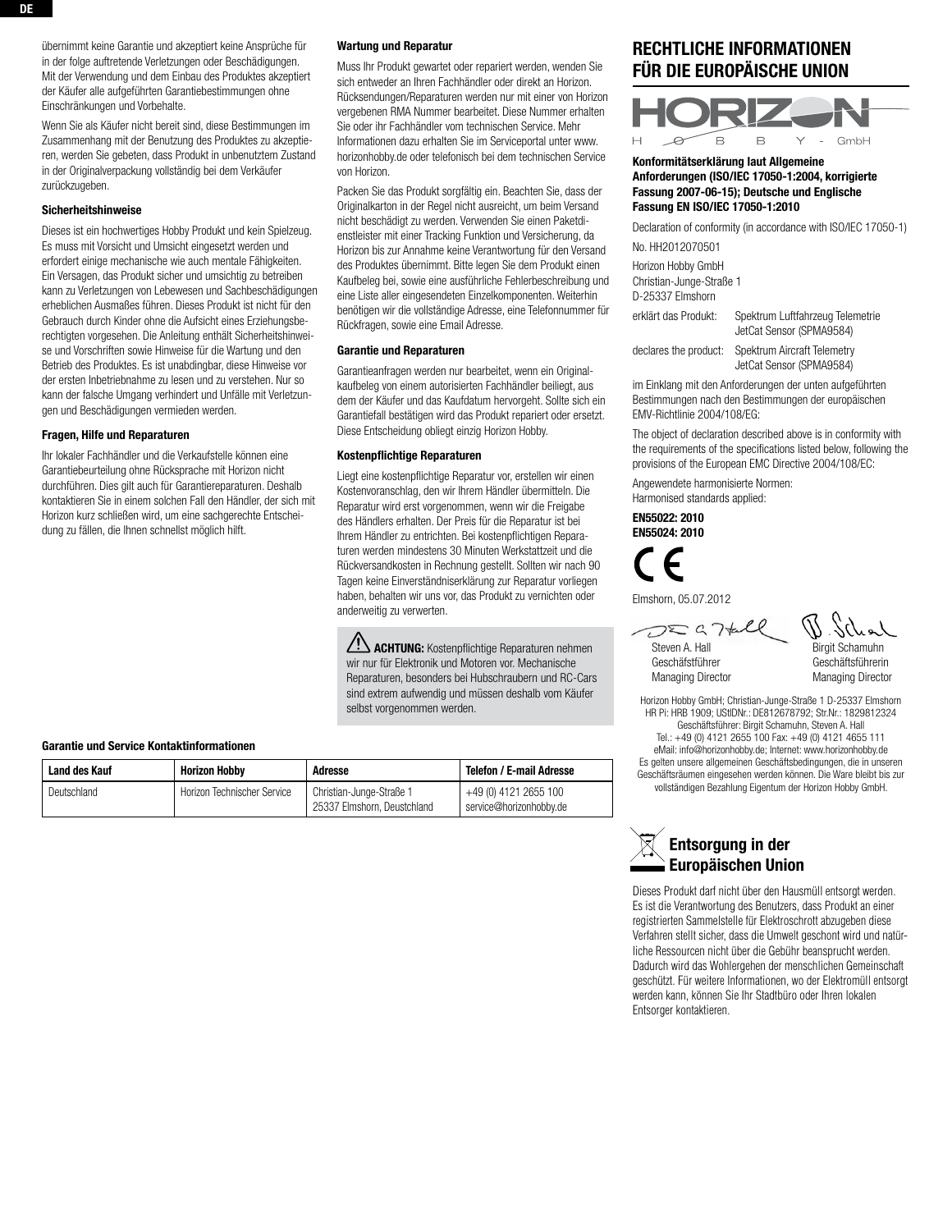übernimmt keine Garantie und akzeptiert keine Ansprüche für in der folge auftretende Verletzungen oder Beschädigungen. Mit der Verwendung und dem Einbau des Produktes akzeptiert der Käufer alle aufgeführten Garantiebestimmungen ohne Einschränkungen und Vorbehalte.

Wenn Sie als Käufer nicht bereit sind, diese Bestimmungen im Zusammenhang mit der Benutzung des Produktes zu akzeptieren, werden Sie gebeten, dass Produkt in unbenutztem Zustand in der Originalverpackung vollständig bei dem Verkäufer zurückzugeben.

#### Sicherheitshinweise

Dieses ist ein hochwertiges Hobby Produkt und kein Spielzeug. Es muss mit Vorsicht und Umsicht eingesetzt werden und erfordert einige mechanische wie auch mentale Fähigkeiten. Ein Versagen, das Produkt sicher und umsichtig zu betreiben kann zu Verletzungen von Lebewesen und Sachbeschädigungen erheblichen Ausmaßes führen. Dieses Produkt ist nicht für den Gebrauch durch Kinder ohne die Aufsicht eines Erziehungsberechtigten vorgesehen. Die Anleitung enthält Sicherheitshinweise und Vorschriften sowie Hinweise für die Wartung und den Betrieb des Produktes. Es ist unabdingbar, diese Hinweise vor der ersten Inbetriebnahme zu lesen und zu verstehen. Nur so kann der falsche Umgang verhindert und Unfälle mit Verletzungen und Beschädigungen vermieden werden.

### Fragen, Hilfe und Reparaturen

Ihr lokaler Fachhändler und die Verkaufstelle können eine Garantiebeurteilung ohne Rücksprache mit Horizon nicht durchführen. Dies gilt auch für Garantiereparaturen. Deshalb kontaktieren Sie in einem solchen Fall den Händler, der sich mit Horizon kurz schließen wird, um eine sachgerechte Entscheidung zu fällen, die Ihnen schnellst möglich hilft.

#### Wartung und Reparatur

Muss Ihr Produkt gewartet oder repariert werden, wenden Sie sich entweder an Ihren Fachhändler oder direkt an Horizon. Rücksendungen/Reparaturen werden nur mit einer von Horizon vergebenen RMA Nummer bearbeitet. Diese Nummer erhalten Sie oder ihr Fachhändler vom technischen Service. Mehr Informationen dazu erhalten Sie im Serviceportal unter www. horizonhobby.de oder telefonisch bei dem technischen Service von Horizon.

Packen Sie das Produkt sorgfältig ein. Beachten Sie, dass der Originalkarton in der Regel nicht ausreicht, um beim Versand nicht beschädigt zu werden. Verwenden Sie einen Paketdienstleister mit einer Tracking Funktion und Versicherung, da Horizon bis zur Annahme keine Verantwortung für den Versand des Produktes übernimmt. Bitte legen Sie dem Produkt einen Kaufbeleg bei, sowie eine ausführliche Fehlerbeschreibung und eine Liste aller eingesendeten Einzelkomponenten. Weiterhin benötigen wir die vollständige Adresse, eine Telefonnummer für Rückfragen, sowie eine Email Adresse.

### Garantie und Reparaturen

Garantieanfragen werden nur bearbeitet, wenn ein Originalkaufbeleg von einem autorisierten Fachhändler beiliegt, aus dem der Käufer und das Kaufdatum hervorgeht. Sollte sich ein Garantiefall bestätigen wird das Produkt repariert oder ersetzt. Diese Entscheidung obliegt einzig Horizon Hobby.

#### Kostenpflichtige Reparaturen

Liegt eine kostenpflichtige Reparatur vor, erstellen wir einen Kostenvoranschlag, den wir Ihrem Händler übermitteln. Die Reparatur wird erst vorgenommen, wenn wir die Freigabe des Händlers erhalten. Der Preis für die Reparatur ist bei Ihrem Händler zu entrichten. Bei kostenpflichtigen Reparaturen werden mindestens 30 Minuten Werkstattzeit und die Rückversandkosten in Rechnung gestellt. Sollten wir nach 90 Tagen keine Einverständniserklärung zur Reparatur vorliegen haben, behalten wir uns vor, das Produkt zu vernichten oder anderweitig zu verwerten.

**ACHTUNG:** Kostenpflichtige Reparaturen nehmen wir nur für Elektronik und Motoren vor. Mechanische Reparaturen, besonders bei Hubschraubern und RC-Cars sind extrem aufwendig und müssen deshalb vom Käufer selbst vorgenommen werden.

#### Garantie und Service Kontaktinformationen

| Land des Kauf | <b>Horizon Hobby</b>        | Adresse                     | Telefon / E-mail Adresse |
|---------------|-----------------------------|-----------------------------|--------------------------|
| Deutschland   | Horizon Technischer Service | Christian-Junge-Straße 1    | +49 (0) 4121 2655 100    |
|               |                             | 25337 Elmshorn, Deustchland | service@horizonhobbv.de  |

# Rechtliche Informationen für die Europäische Union



#### Konformitätserklärung laut Allgemeine Anforderungen (ISO/IEC 17050-1:2004, korrigierte Fassung 2007-06-15); Deutsche und Englische Fassung EN ISO/IEC 17050-1:2010

Declaration of conformity (in accordance with ISO/IEC 17050-1) No. HH2012070501

Horizon Hobby GmbH

Christian-Junge-Straße 1 D-25337 Elmshorn

erklärt das Produkt: Spektrum Luftfahrzeug Telemetrie JetCat Sensor (SPMA9584)

declares the product: Spektrum Aircraft Telemetry JetCat Sensor (SPMA9584)

im Einklang mit den Anforderungen der unten aufgeführten Bestimmungen nach den Bestimmungen der europäischen EMV-Richtlinie 2004/108/EG:

The object of declaration described above is in conformity with the requirements of the specifications listed below, following the provisions of the European EMC Directive 2004/108/EC:

Angewendete harmonisierte Normen: Harmonised standards applied:

EN55022: 2010 EN55024: 2010

Elmshorn, 05.07.2012

 $D\Sigma G$   $7*$ 

Steven A. Hall Geschäfstführer Managing Director Birgit Schamuhn Geschäftsführerin Managing Director

Horizon Hobby GmbH; Christian-Junge-Straße 1 D-25337 Elmshorn HR Pi: HRB 1909; UStIDNr.: DE812678792; Str.Nr.: 1829812324 Geschäftsführer: Birgit Schamuhn, Steven A. Hall Tel.: +49 (0) 4121 2655 100 Fax: +49 (0) 4121 4655 111 eMail: info@horizonhobby.de; Internet: www.horizonhobby.de Es gelten unsere allgemeinen Geschäftsbedingungen, die in unseren Geschäftsräumen eingesehen werden können. Die Ware bleibt bis zur vollständigen Bezahlung Eigentum der Horizon Hobby GmbH.



Dieses Produkt darf nicht über den Hausmüll entsorgt werden. Es ist die Verantwortung des Benutzers, dass Produkt an einer registrierten Sammelstelle für Elektroschrott abzugeben diese Verfahren stellt sicher, dass die Umwelt geschont wird und natürliche Ressourcen nicht über die Gebühr beansprucht werden. Dadurch wird das Wohlergehen der menschlichen Gemeinschaft geschützt. Für weitere Informationen, wo der Elektromüll entsorgt werden kann, können Sie Ihr Stadtbüro oder Ihren lokalen Entsorger kontaktieren.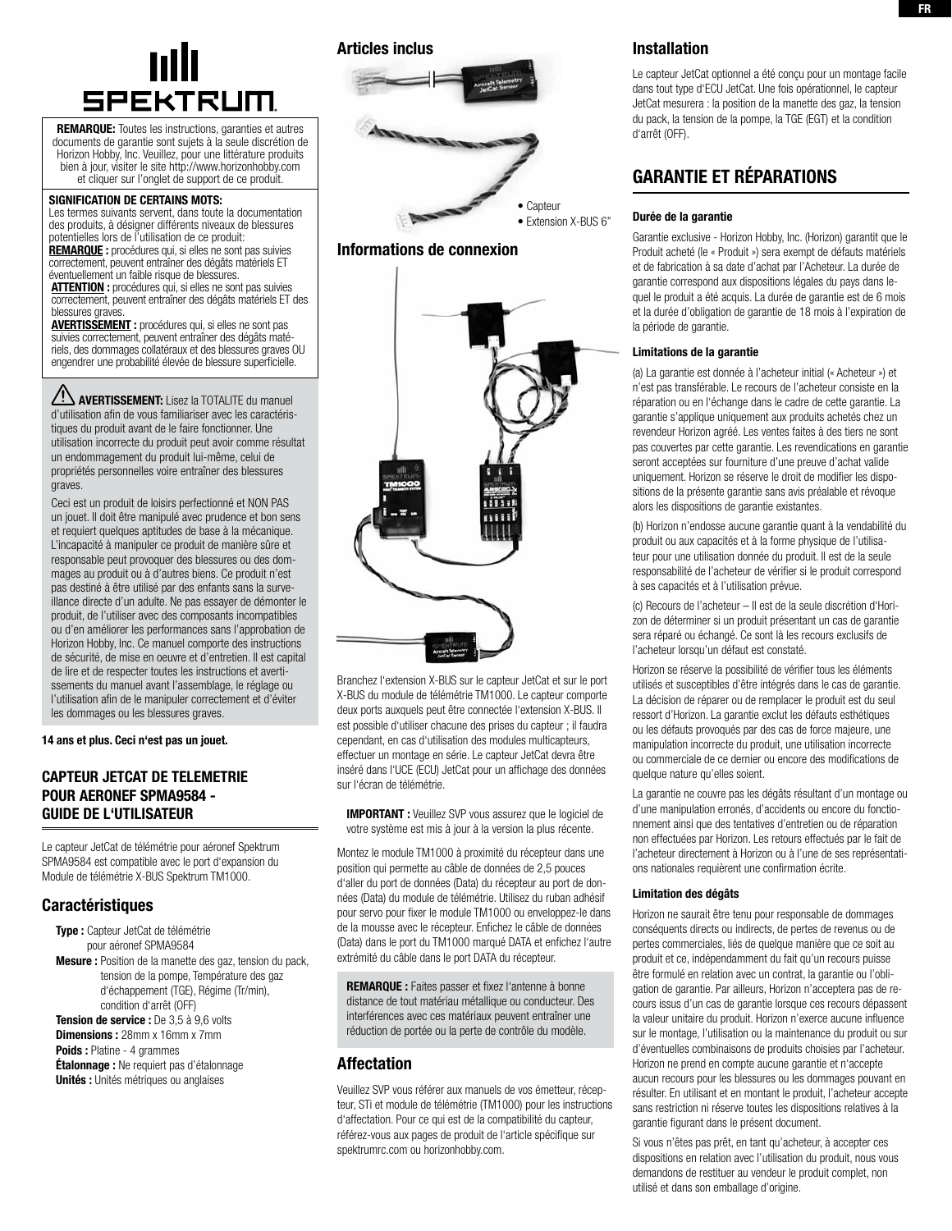

REMARQUE: Toutes les instructions, garanties et autres documents de garantie sont sujets à la seule discrétion de Horizon Hobby, Inc. Veuillez, pour une littérature produits bien à jour, visiter le site http://www.horizonhobby.com et cliquer sur l'onglet de support de ce produit.

#### SIGNIFICATION DE CERTAINS MOTS:

Les termes suivants servent, dans toute la documentation des produits, à désigner différents niveaux de blessures potentielles lors de l'utilisation de ce produit: REMARQUE : procédures qui, si elles ne sont pas suivies

correctement, peuvent entraîner des dégâts matériels ET éventuellement un faible risque de blessures. ATTENTION : procédures qui, si elles ne sont pas suivies

correctement, peuvent entraîner des dégâts matériels ET des blessures graves

AVERTISSEMENT : procédures qui, si elles ne sont pas suivies correctement, peuvent entraîner des dégâts matériels, des dommages collatéraux et des blessures graves OU engendrer une probabilité élevée de blessure superficielle.

**AUERTISSEMENT:** Lisez la TOTALITE du manuel d'utilisation afin de vous familiariser avec les caractéristiques du produit avant de le faire fonctionner. Une utilisation incorrecte du produit peut avoir comme résultat un endommagement du produit lui-même, celui de propriétés personnelles voire entraîner des blessures graves.

Ceci est un produit de loisirs perfectionné et NON PAS un jouet. Il doit être manipulé avec prudence et bon sens et requiert quelques aptitudes de base à la mécanique. L'incapacité à manipuler ce produit de manière sûre et responsable peut provoquer des blessures ou des dommages au produit ou à d'autres biens. Ce produit n'est pas destiné à être utilisé par des enfants sans la surveillance directe d'un adulte. Ne pas essayer de démonter le produit, de l'utiliser avec des composants incompatibles ou d'en améliorer les performances sans l'approbation de Horizon Hobby, Inc. Ce manuel comporte des instructions de sécurité, de mise en oeuvre et d'entretien. Il est capital de lire et de respecter toutes les instructions et avertissements du manuel avant l'assemblage, le réglage ou l'utilisation afin de le manipuler correctement et d'éviter les dommages ou les blessures graves.

14 ans et plus. Ceci n'est pas un jouet.

## CAPTEUR JetCat DE TELEMETRIE POUR AERONEF SPMA9584 - GUIDE DE L'UTILISATEUR

Le capteur JetCat de télémétrie pour aéronef Spektrum SPMA9584 est compatible avec le port d'expansion du Module de télémétrie X-BUS Spektrum TM1000.

## Caractéristiques

Type : Capteur JetCat de télémétrie pour aéronef SPMA9584 Mesure : Position de la manette des gaz, tension du pack, tension de la pompe, Température des gaz d'échappement (TGE), Régime (Tr/min), condition d'arrêt (OFF) Tension de service : De 3,5 à 9,6 volts

Dimensions : 28mm x 16mm x 7mm Poids : Platine - 4 grammes **Étalonnage :** Ne requiert pas d'étalonnage Unités : Unités métriques ou anglaises

## Articles inclus



## Informations de connexion



Branchez l'extension X-BUS sur le capteur JetCat et sur le port X-BUS du module de télémétrie TM1000. Le capteur comporte deux ports auxquels peut être connectée l'extension X-BUS. Il est possible d'utiliser chacune des prises du capteur ; il faudra cependant, en cas d'utilisation des modules multicapteurs, effectuer un montage en série. Le capteur JetCat devra être inséré dans l'UCE (ECU) JetCat pour un affichage des données sur l'écran de télémétrie.

IMPORTANT : Veuillez SVP vous assurez que le logiciel de votre système est mis à jour à la version la plus récente.

Montez le module TM1000 à proximité du récepteur dans une position qui permette au câble de données de 2,5 pouces d'aller du port de données (Data) du récepteur au port de données (Data) du module de télémétrie. Utilisez du ruban adhésif pour servo pour fixer le module TM1000 ou enveloppez-le dans de la mousse avec le récepteur. Enfichez le câble de données (Data) dans le port du TM1000 marqué DATA et enfichez l'autre extrémité du câble dans le port DATA du récepteur.

REMARQUE : Faites passer et fixez l'antenne à bonne distance de tout matériau métallique ou conducteur. Des interférences avec ces matériaux peuvent entraîner une réduction de portée ou la perte de contrôle du modèle.

## Affectation

Veuillez SVP vous référer aux manuels de vos émetteur, récepteur, STi et module de télémétrie (TM1000) pour les instructions d'affectation. Pour ce qui est de la compatibilité du capteur, référez-vous aux pages de produit de l'article spécifique sur spektrumrc.com ou horizonhobby.com.

## Installation

Le capteur JetCat optionnel a été conçu pour un montage facile dans tout type d'ECU JetCat. Une fois opérationnel, le capteur JetCat mesurera : la position de la manette des gaz, la tension du pack, la tension de la pompe, la TGE (EGT) et la condition d'arrêt (OFF).

# garantie et rÉparations

#### Durée de la garantie

Garantie exclusive - Horizon Hobby, Inc. (Horizon) garantit que le Produit acheté (le « Produit ») sera exempt de défauts matériels et de fabrication à sa date d'achat par l'Acheteur. La durée de garantie correspond aux dispositions légales du pays dans lequel le produit a été acquis. La durée de garantie est de 6 mois et la durée d'obligation de garantie de 18 mois à l'expiration de la période de garantie.

#### Limitations de la garantie

(a) La garantie est donnée à l'acheteur initial (« Acheteur ») et n'est pas transférable. Le recours de l'acheteur consiste en la réparation ou en l'échange dans le cadre de cette garantie. La garantie s'applique uniquement aux produits achetés chez un revendeur Horizon agréé. Les ventes faites à des tiers ne sont pas couvertes par cette garantie. Les revendications en garantie seront acceptées sur fourniture d'une preuve d'achat valide uniquement. Horizon se réserve le droit de modifier les dispositions de la présente garantie sans avis préalable et révoque alors les dispositions de garantie existantes.

(b) Horizon n'endosse aucune garantie quant à la vendabilité du produit ou aux capacités et à la forme physique de l'utilisateur pour une utilisation donnée du produit. Il est de la seule responsabilité de l'acheteur de vérifier si le produit correspond à ses capacités et à l'utilisation prévue.

(c) Recours de l'acheteur – Il est de la seule discrétion d'Horizon de déterminer si un produit présentant un cas de garantie sera réparé ou échangé. Ce sont là les recours exclusifs de l'acheteur lorsqu'un défaut est constaté.

Horizon se réserve la possibilité de vérifier tous les éléments utilisés et susceptibles d'être intégrés dans le cas de garantie. La décision de réparer ou de remplacer le produit est du seul ressort d'Horizon. La garantie exclut les défauts esthétiques ou les défauts provoqués par des cas de force majeure, une manipulation incorrecte du produit, une utilisation incorrecte ou commerciale de ce dernier ou encore des modifications de quelque nature qu'elles soient.

La garantie ne couvre pas les dégâts résultant d'un montage ou d'une manipulation erronés, d'accidents ou encore du fonctionnement ainsi que des tentatives d'entretien ou de réparation non effectuées par Horizon. Les retours effectués par le fait de l'acheteur directement à Horizon ou à l'une de ses représentations nationales requièrent une confirmation écrite.

#### Limitation des dégâts

Horizon ne saurait être tenu pour responsable de dommages conséquents directs ou indirects, de pertes de revenus ou de pertes commerciales, liés de quelque manière que ce soit au produit et ce, indépendamment du fait qu'un recours puisse être formulé en relation avec un contrat, la garantie ou l'obligation de garantie. Par ailleurs, Horizon n'acceptera pas de recours issus d'un cas de garantie lorsque ces recours dépassent la valeur unitaire du produit. Horizon n'exerce aucune influence sur le montage, l'utilisation ou la maintenance du produit ou sur d'éventuelles combinaisons de produits choisies par l'acheteur. Horizon ne prend en compte aucune garantie et n'accepte aucun recours pour les blessures ou les dommages pouvant en résulter. En utilisant et en montant le produit, l'acheteur accepte sans restriction ni réserve toutes les dispositions relatives à la garantie figurant dans le présent document.

Si vous n'êtes pas prêt, en tant qu'acheteur, à accepter ces dispositions en relation avec l'utilisation du produit, nous vous demandons de restituer au vendeur le produit complet, non utilisé et dans son emballage d'origine.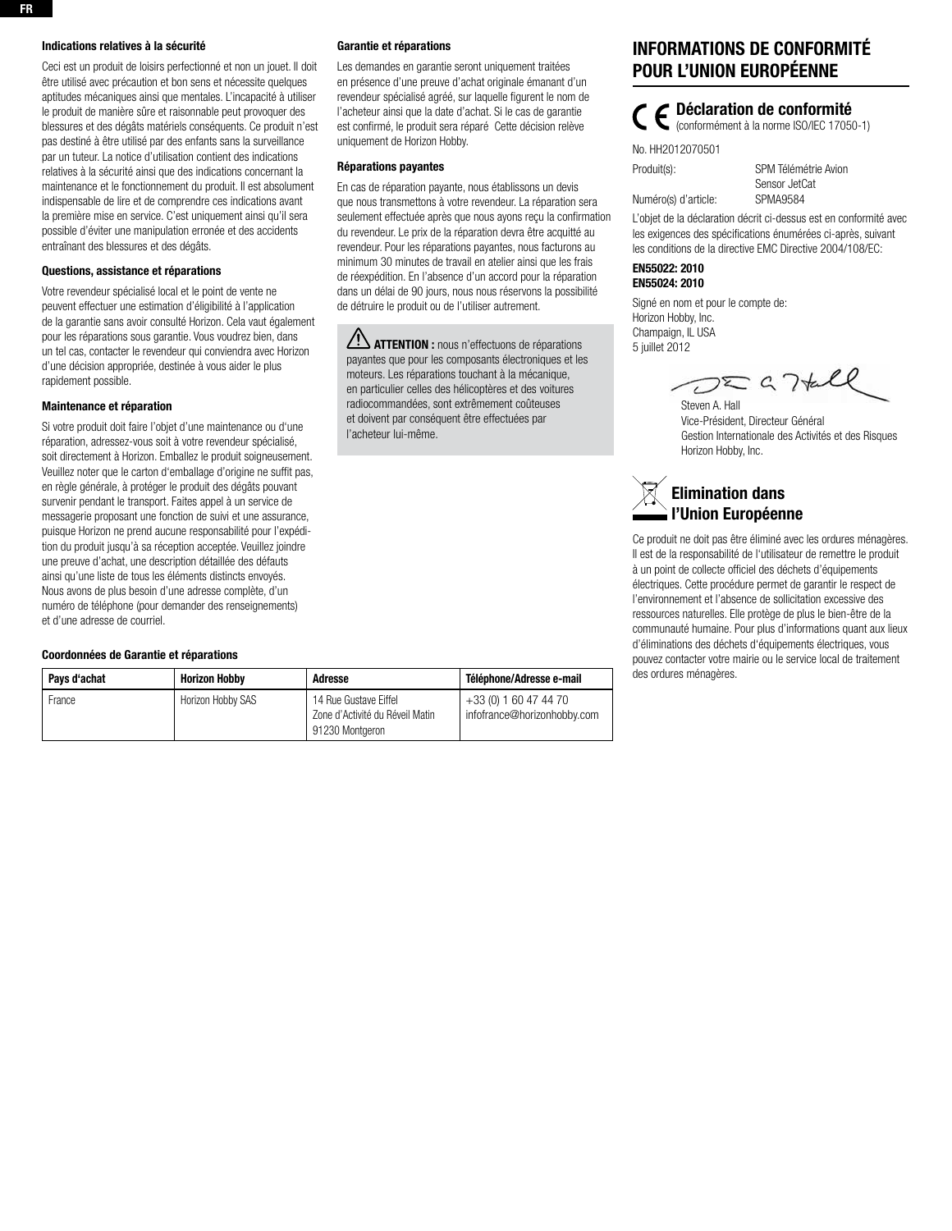#### Indications relatives à la sécurité

Ceci est un produit de loisirs perfectionné et non un jouet. Il doit être utilisé avec précaution et bon sens et nécessite quelques aptitudes mécaniques ainsi que mentales. L'incapacité à utiliser le produit de manière sûre et raisonnable peut provoquer des blessures et des dégâts matériels conséquents. Ce produit n'est pas destiné à être utilisé par des enfants sans la surveillance par un tuteur. La notice d'utilisation contient des indications relatives à la sécurité ainsi que des indications concernant la maintenance et le fonctionnement du produit. Il est absolument indispensable de lire et de comprendre ces indications avant la première mise en service. C'est uniquement ainsi qu'il sera possible d'éviter une manipulation erronée et des accidents entraînant des blessures et des dégâts.

#### Questions, assistance et réparations

Votre revendeur spécialisé local et le point de vente ne peuvent effectuer une estimation d'éligibilité à l'application de la garantie sans avoir consulté Horizon. Cela vaut également pour les réparations sous garantie. Vous voudrez bien, dans un tel cas, contacter le revendeur qui conviendra avec Horizon d'une décision appropriée, destinée à vous aider le plus rapidement possible.

#### Maintenance et réparation

Si votre produit doit faire l'objet d'une maintenance ou d'une réparation, adressez-vous soit à votre revendeur spécialisé, soit directement à Horizon. Emballez le produit soigneusement. Veuillez noter que le carton d'emballage d'origine ne suffit pas, en règle générale, à protéger le produit des dégâts pouvant survenir pendant le transport. Faites appel à un service de messagerie proposant une fonction de suivi et une assurance, puisque Horizon ne prend aucune responsabilité pour l'expédition du produit jusqu'à sa réception acceptée. Veuillez joindre une preuve d'achat, une description détaillée des défauts ainsi qu'une liste de tous les éléments distincts envoyés. Nous avons de plus besoin d'une adresse complète, d'un numéro de téléphone (pour demander des renseignements) et d'une adresse de courriel.

#### Coordonnées de Garantie et réparations

#### Garantie et réparations

Les demandes en garantie seront uniquement traitées en présence d'une preuve d'achat originale émanant d'un revendeur spécialisé agréé, sur laquelle figurent le nom de l'acheteur ainsi que la date d'achat. Si le cas de garantie est confirmé, le produit sera réparé Cette décision relève uniquement de Horizon Hobby.

#### Réparations payantes

En cas de réparation payante, nous établissons un devis que nous transmettons à votre revendeur. La réparation sera seulement effectuée après que nous ayons reçu la confirmation du revendeur. Le prix de la réparation devra être acquitté au revendeur. Pour les réparations payantes, nous facturons au minimum 30 minutes de travail en atelier ainsi que les frais de réexpédition. En l'absence d'un accord pour la réparation dans un délai de 90 jours, nous nous réservons la possibilité de détruire le produit ou de l'utiliser autrement.

**ATTENTION :** nous n'effectuons de réparations payantes que pour les composants électroniques et les moteurs. Les réparations touchant à la mécanique, en particulier celles des hélicoptères et des voitures radiocommandées, sont extrêmement coûteuses et doivent par conséquent être effectuées par l'acheteur lui-même.

# Informations de Conformité pour l'Union Européenne

 $\Gamma$   $\subset$  Déclaration de conformité

(conformément à la norme ISO/IEC 17050-1)

No. HH2012070501

Produit(s): SPM Télémétrie Avion Sensor JetCat Numéro(s) d'article: SPMA9584

L'objet de la déclaration décrit ci-dessus est en conformité avec les exigences des spécifications énumérées ci-après, suivant les conditions de la directive EMC Directive 2004/108/EC:

### EN55022: 2010 EN55024: 2010

Signé en nom et pour le compte de: Horizon Hobby, Inc. Champaign, IL USA 5 juillet 2012

 $DZQ7\text{tall}$ Steven A. Hall

Vice-Président, Directeur Général Gestion Internationale des Activités et des Risques Horizon Hobby, Inc.

# Elimination dans l'Union Européenne

Ce produit ne doit pas être éliminé avec les ordures ménagères. Il est de la responsabilité de l'utilisateur de remettre le produit à un point de collecte officiel des déchets d'équipements électriques. Cette procédure permet de garantir le respect de l'environnement et l'absence de sollicitation excessive des ressources naturelles. Elle protège de plus le bien-être de la communauté humaine. Pour plus d'informations quant aux lieux d'éliminations des déchets d'équipements électriques, vous pouvez contacter votre mairie ou le service local de traitement des ordures ménagères.

| Pavs d'achat | <b>Horizon Hobby</b> | Adresse                                                                     | Téléphone/Adresse e-mail                             |
|--------------|----------------------|-----------------------------------------------------------------------------|------------------------------------------------------|
| France       | Horizon Hobby SAS    | 14 Rue Gustave Eiffel<br>Zone d'Activité du Réveil Matin<br>91230 Montgeron | +33 (0) 1 60 47 44 70<br>infofrance@horizonhobby.com |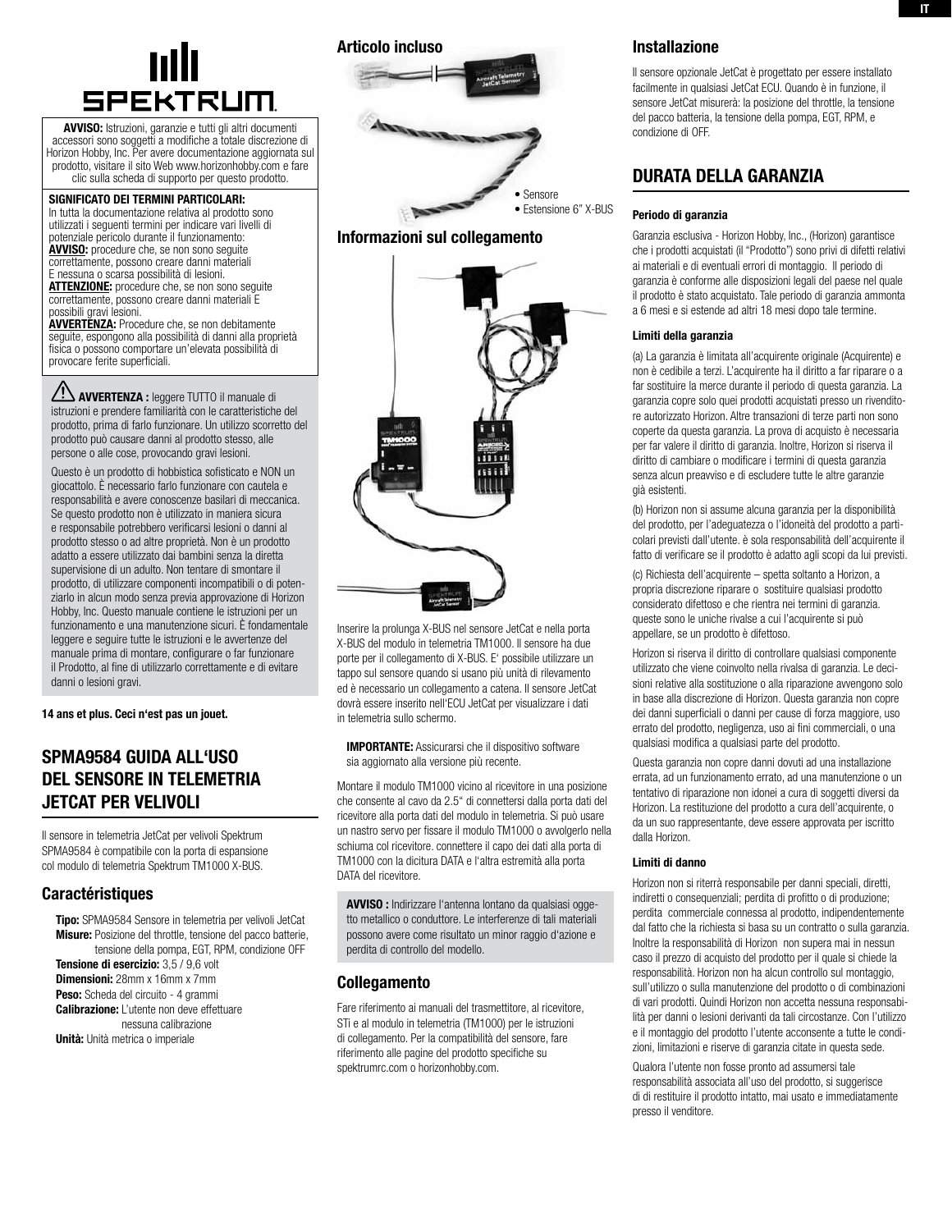

AVVISO: Istruzioni, garanzie e tutti gli altri documenti accessori sono soggetti a modifiche a totale discrezione di Horizon Hobby, Inc. Per avere documentazione aggiornata sul prodotto, visitare il sito Web www.horizonhobby.com e fare clic sulla scheda di supporto per questo prodotto.

Significato dei termini particolari: In tutta la documentazione relativa al prodotto sono utilizzati i seguenti termini per indicare vari livelli di potenziale pericolo durante il funzionamento: AVVISO: procedure che, se non sono seguite correttamente, possono creare danni materiali E nessuna o scarsa possibilità di lesioni. **ATTENZIONE:** procedure che, se non sono seguite correttamente, possono creare danni materiali E

possibili gravi lesioni. AVVERTENZA: Procedure che, se non debitamente seguite, espongono alla possibilità di danni alla proprietà fisica o possono comportare un'elevata possibilità di provocare ferite superficiali.

AVVERTENZA : leggere TUTTO il manuale di istruzioni e prendere familiarità con le caratteristiche del prodotto, prima di farlo funzionare. Un utilizzo scorretto del prodotto può causare danni al prodotto stesso, alle persone o alle cose, provocando gravi lesioni.

Questo è un prodotto di hobbistica sofisticato e NON un giocattolo. È necessario farlo funzionare con cautela e responsabilità e avere conoscenze basilari di meccanica. Se questo prodotto non è utilizzato in maniera sicura e responsabile potrebbero verificarsi lesioni o danni al prodotto stesso o ad altre proprietà. Non è un prodotto adatto a essere utilizzato dai bambini senza la diretta supervisione di un adulto. Non tentare di smontare il prodotto, di utilizzare componenti incompatibili o di potenziarlo in alcun modo senza previa approvazione di Horizon Hobby, Inc. Questo manuale contiene le istruzioni per un funzionamento e una manutenzione sicuri. È fondamentale leggere e seguire tutte le istruzioni e le avvertenze del manuale prima di montare, configurare o far funzionare il Prodotto, al fine di utilizzarlo correttamente e di evitare danni o lesioni gravi.

14 ans et plus. Ceci n'est pas un jouet.

# SPMA9584 GUIDA ALL'USO DEL SENSORE IN TELEMETRIA JetCat PER VELIVOLI

Il sensore in telemetria JetCat per velivoli Spektrum SPMA9584 è compatibile con la porta di espansione col modulo di telemetria Spektrum TM1000 X-BUS.

### **Caractéristiques**

Tipo: SPMA9584 Sensore in telemetria per velivoli JetCat Misure: Posizione del throttle, tensione del pacco batterie, tensione della pompa, EGT, RPM, condizione OFF Tensione di esercizio: 3,5 / 9,6 volt Dimensioni: 28mm x 16mm x 7mm Peso: Scheda del circuito - 4 grammi Calibrazione: L'utente non deve effettuare nessuna calibrazione Unità: Unità metrica o imperiale

### Articolo incluso







Inserire la prolunga X-BUS nel sensore JetCat e nella porta X-BUS del modulo in telemetria TM1000. Il sensore ha due porte per il collegamento di X-BUS. E' possibile utilizzare un tappo sul sensore quando si usano più unità di rilevamento ed è necessario un collegamento a catena. Il sensore JetCat dovrà essere inserito nell'ECU JetCat per visualizzare i dati in telemetria sullo schermo.

IMPORTANTE: Assicurarsi che il dispositivo software sia aggiornato alla versione più recente.

Montare il modulo TM1000 vicino al ricevitore in una posizione che consente al cavo da 2.5" di connettersi dalla porta dati del ricevitore alla porta dati del modulo in telemetria. Si può usare un nastro servo per fissare il modulo TM1000 o avvolgerlo nella schiuma col ricevitore. connettere il capo dei dati alla porta di TM1000 con la dicitura DATA e l'altra estremità alla porta DATA del ricevitore.

AVVISO : Indirizzare l'antenna lontano da qualsiasi oggetto metallico o conduttore. Le interferenze di tali materiali possono avere come risultato un minor raggio d'azione e perdita di controllo del modello.

## Collegamento

Fare riferimento ai manuali del trasmettitore, al ricevitore, STi e al modulo in telemetria (TM1000) per le istruzioni di collegamento. Per la compatibilità del sensore, fare riferimento alle pagine del prodotto specifiche su spektrumrc.com o horizonhobby.com.

## Installazione

Il sensore opzionale JetCat è progettato per essere installato facilmente in qualsiasi JetCat ECU. Quando è in funzione, il sensore JetCat misurerà: la posizione del throttle, la tensione del pacco batteria, la tensione della pompa, EGT, RPM, e condizione di OFF.

# durata della garanzia

#### Periodo di garanzia

Garanzia esclusiva - Horizon Hobby, Inc., (Horizon) garantisce che i prodotti acquistati (il "Prodotto") sono privi di difetti relativi ai materiali e di eventuali errori di montaggio. Il periodo di garanzia è conforme alle disposizioni legali del paese nel quale il prodotto è stato acquistato. Tale periodo di garanzia ammonta a 6 mesi e si estende ad altri 18 mesi dopo tale termine.

#### Limiti della garanzia

(a) La garanzia è limitata all'acquirente originale (Acquirente) e non è cedibile a terzi. L'acquirente ha il diritto a far riparare o a far sostituire la merce durante il periodo di questa garanzia. La garanzia copre solo quei prodotti acquistati presso un rivenditore autorizzato Horizon. Altre transazioni di terze parti non sono coperte da questa garanzia. La prova di acquisto è necessaria per far valere il diritto di garanzia. Inoltre, Horizon si riserva il diritto di cambiare o modificare i termini di questa garanzia senza alcun preavviso e di escludere tutte le altre garanzie già esistenti.

(b) Horizon non si assume alcuna garanzia per la disponibilità del prodotto, per l'adeguatezza o l'idoneità del prodotto a particolari previsti dall'utente. è sola responsabilità dell'acquirente il fatto di verificare se il prodotto è adatto agli scopi da lui previsti.

(c) Richiesta dell'acquirente – spetta soltanto a Horizon, a propria discrezione riparare o sostituire qualsiasi prodotto considerato difettoso e che rientra nei termini di garanzia. queste sono le uniche rivalse a cui l'acquirente si può appellare, se un prodotto è difettoso.

Horizon si riserva il diritto di controllare qualsiasi componente utilizzato che viene coinvolto nella rivalsa di garanzia. Le decisioni relative alla sostituzione o alla riparazione avvengono solo in base alla discrezione di Horizon. Questa garanzia non copre dei danni superficiali o danni per cause di forza maggiore, uso errato del prodotto, negligenza, uso ai fini commerciali, o una qualsiasi modifica a qualsiasi parte del prodotto.

Questa garanzia non copre danni dovuti ad una installazione errata, ad un funzionamento errato, ad una manutenzione o un tentativo di riparazione non idonei a cura di soggetti diversi da Horizon. La restituzione del prodotto a cura dell'acquirente, o da un suo rappresentante, deve essere approvata per iscritto dalla Horizon.

### Limiti di danno

Horizon non si riterrà responsabile per danni speciali, diretti, indiretti o consequenziali; perdita di profitto o di produzione; perdita commerciale connessa al prodotto, indipendentemente dal fatto che la richiesta si basa su un contratto o sulla garanzia. Inoltre la responsabilità di Horizon non supera mai in nessun caso il prezzo di acquisto del prodotto per il quale si chiede la responsabilità. Horizon non ha alcun controllo sul montaggio, sull'utilizzo o sulla manutenzione del prodotto o di combinazioni di vari prodotti. Quindi Horizon non accetta nessuna responsabilità per danni o lesioni derivanti da tali circostanze. Con l'utilizzo e il montaggio del prodotto l'utente acconsente a tutte le condizioni, limitazioni e riserve di garanzia citate in questa sede.

Qualora l'utente non fosse pronto ad assumersi tale responsabilità associata all'uso del prodotto, si suggerisce di di restituire il prodotto intatto, mai usato e immediatamente presso il venditore.